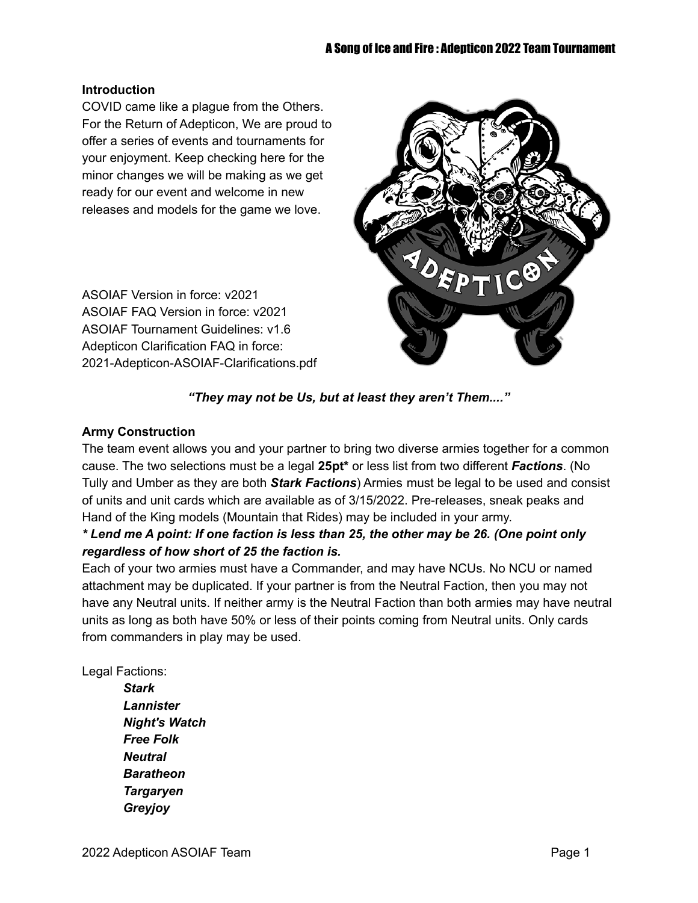#### **Introduction**

COVID came like a plague from the Others. For the Return of Adepticon, We are proud to offer a series of events and tournaments for your enjoyment. Keep checking here for the minor changes we will be making as we get ready for our event and welcome in new releases and models for the game we love.

ASOIAF Version in force: v2021 ASOIAF FAQ Version in force: v2021 ASOIAF Tournament Guidelines: v1.6 Adepticon Clarification FAQ in force: 2021-Adepticon-ASOIAF-Clarifications.pdf



#### *"They may not be Us, but at least they aren't Them...."*

#### **Army Construction**

The team event allows you and your partner to bring two diverse armies together for a common cause. The two selections must be a legal **25pt\*** or less list from two different *Factions*. (No Tully and Umber as they are both *Stark Factions*) Armies must be legal to be used and consist of units and unit cards which are available as of 3/15/2022. Pre-releases, sneak peaks and Hand of the King models (Mountain that Rides) may be included in your army.

## \* Lend me A point: If one faction is less than 25, the other may be 26. (One point only *regardless of how short of 25 the faction is.*

Each of your two armies must have a Commander, and may have NCUs. No NCU or named attachment may be duplicated. If your partner is from the Neutral Faction, then you may not have any Neutral units. If neither army is the Neutral Faction than both armies may have neutral units as long as both have 50% or less of their points coming from Neutral units. Only cards from commanders in play may be used.

Legal Factions:

*Stark Lannister Night's Watch Free Folk Neutral Baratheon Targaryen Greyjoy*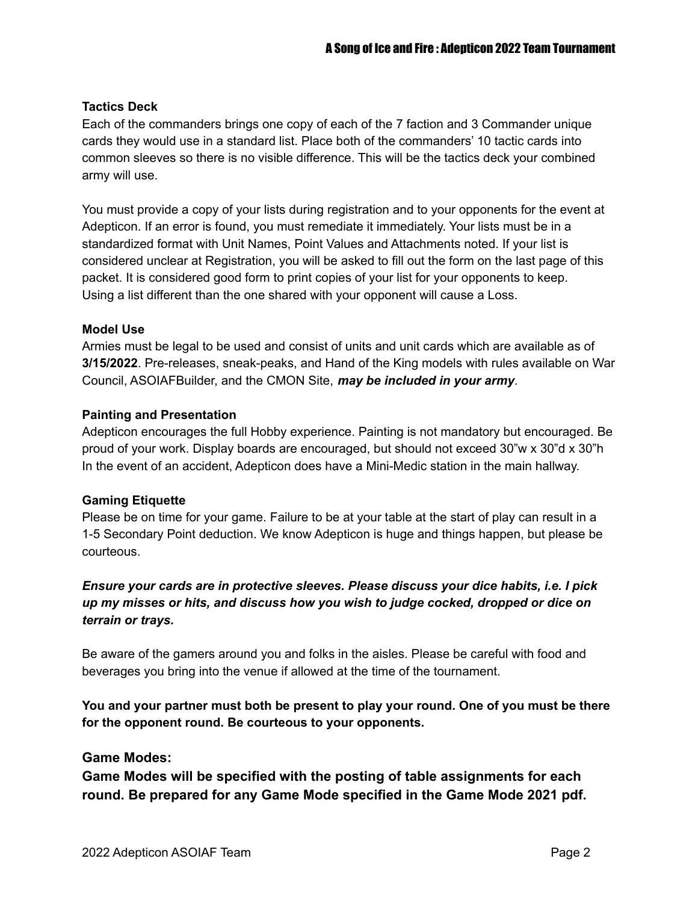#### **Tactics Deck**

Each of the commanders brings one copy of each of the 7 faction and 3 Commander unique cards they would use in a standard list. Place both of the commanders' 10 tactic cards into common sleeves so there is no visible difference. This will be the tactics deck your combined army will use.

You must provide a copy of your lists during registration and to your opponents for the event at Adepticon. If an error is found, you must remediate it immediately. Your lists must be in a standardized format with Unit Names, Point Values and Attachments noted. If your list is considered unclear at Registration, you will be asked to fill out the form on the last page of this packet. It is considered good form to print copies of your list for your opponents to keep. Using a list different than the one shared with your opponent will cause a Loss.

#### **Model Use**

Armies must be legal to be used and consist of units and unit cards which are available as of **3/15/2022**. Pre-releases, sneak-peaks, and Hand of the King models with rules available on War Council, ASOIAFBuilder, and the CMON Site, *may be included in your army*.

#### **Painting and Presentation**

Adepticon encourages the full Hobby experience. Painting is not mandatory but encouraged. Be proud of your work. Display boards are encouraged, but should not exceed 30"w x 30"d x 30"h In the event of an accident, Adepticon does have a Mini-Medic station in the main hallway.

#### **Gaming Etiquette**

Please be on time for your game. Failure to be at your table at the start of play can result in a 1-5 Secondary Point deduction. We know Adepticon is huge and things happen, but please be courteous.

## *Ensure your cards are in protective sleeves. Please discuss your dice habits, i.e. I pick up my misses or hits, and discuss how you wish to judge cocked, dropped or dice on terrain or trays.*

Be aware of the gamers around you and folks in the aisles. Please be careful with food and beverages you bring into the venue if allowed at the time of the tournament.

**You and your partner must both be present to play your round. One of you must be there for the opponent round. Be courteous to your opponents.**

#### **Game Modes:**

**Game Modes will be specified with the posting of table assignments for each round. Be prepared for any Game Mode specified in the Game Mode 2021 pdf.**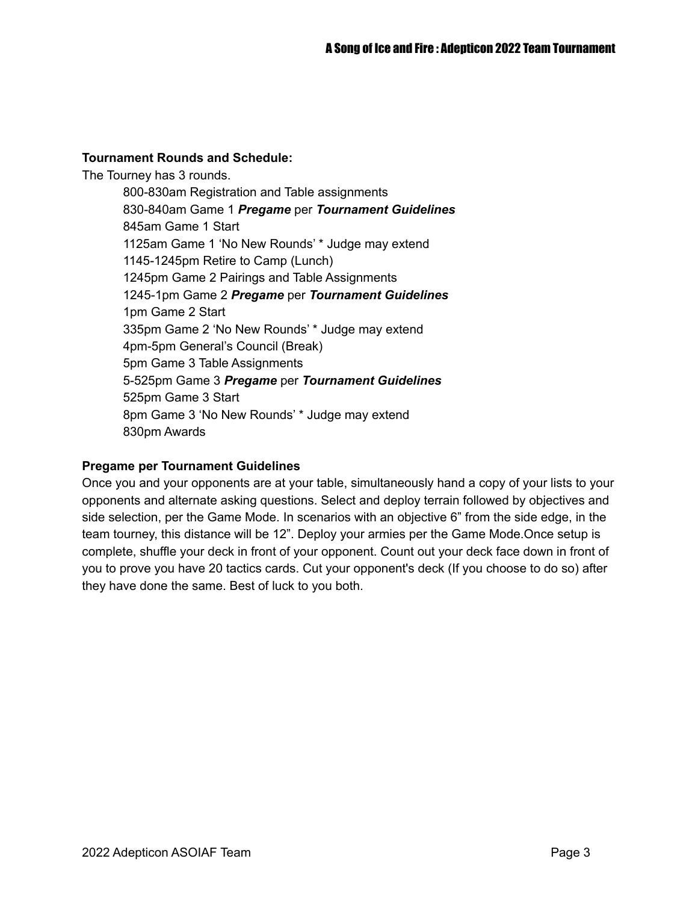#### **Tournament Rounds and Schedule:**

The Tourney has 3 rounds. 800-830am Registration and Table assignments 830-840am Game 1 *Pregame* per *Tournament Guidelines* 845am Game 1 Start 1125am Game 1 'No New Rounds' \* Judge may extend 1145-1245pm Retire to Camp (Lunch) 1245pm Game 2 Pairings and Table Assignments 1245-1pm Game 2 *Pregame* per *Tournament Guidelines* 1pm Game 2 Start 335pm Game 2 'No New Rounds' \* Judge may extend 4pm-5pm General's Council (Break) 5pm Game 3 Table Assignments 5-525pm Game 3 *Pregame* per *Tournament Guidelines* 525pm Game 3 Start 8pm Game 3 'No New Rounds' \* Judge may extend 830pm Awards

#### **Pregame per Tournament Guidelines**

Once you and your opponents are at your table, simultaneously hand a copy of your lists to your opponents and alternate asking questions. Select and deploy terrain followed by objectives and side selection, per the Game Mode. In scenarios with an objective 6" from the side edge, in the team tourney, this distance will be 12". Deploy your armies per the Game Mode.Once setup is complete, shuffle your deck in front of your opponent. Count out your deck face down in front of you to prove you have 20 tactics cards. Cut your opponent's deck (If you choose to do so) after they have done the same. Best of luck to you both.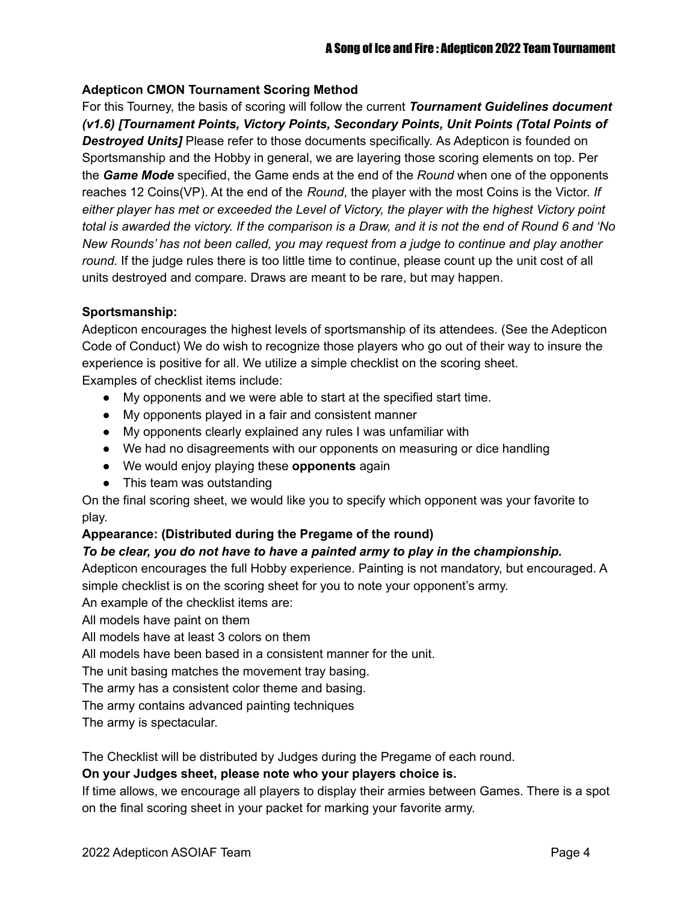#### **Adepticon CMON Tournament Scoring Method**

For this Tourney, the basis of scoring will follow the current *Tournament Guidelines document (v1.6) [Tournament Points, Victory Points, Secondary Points, Unit Points (Total Points of Destroyed Units]* Please refer to those documents specifically. As Adepticon is founded on Sportsmanship and the Hobby in general, we are layering those scoring elements on top. Per the *Game Mode* specified, the Game ends at the end of the *Round* when one of the opponents reaches 12 Coins(VP). At the end of the *Round*, the player with the most Coins is the Victor. *If either player has met or exceeded the Level of Victory, the player with the highest Victory point* total is awarded the victory. If the comparison is a Draw, and it is not the end of Round 6 and 'No *New Rounds' has not been called, you may request from a judge to continue and play another round.* If the judge rules there is too little time to continue, please count up the unit cost of all units destroyed and compare. Draws are meant to be rare, but may happen.

#### **Sportsmanship:**

Adepticon encourages the highest levels of sportsmanship of its attendees. (See the Adepticon Code of Conduct) We do wish to recognize those players who go out of their way to insure the experience is positive for all. We utilize a simple checklist on the scoring sheet. Examples of checklist items include:

- My opponents and we were able to start at the specified start time.
- My opponents played in a fair and consistent manner
- My opponents clearly explained any rules I was unfamiliar with
- We had no disagreements with our opponents on measuring or dice handling
- We would enjoy playing these **opponents** again
- This team was outstanding

On the final scoring sheet, we would like you to specify which opponent was your favorite to play.

#### **Appearance: (Distributed during the Pregame of the round)**

#### *To be clear, you do not have to have a painted army to play in the championship.*

Adepticon encourages the full Hobby experience. Painting is not mandatory, but encouraged. A simple checklist is on the scoring sheet for you to note your opponent's army.

An example of the checklist items are:

All models have paint on them

All models have at least 3 colors on them

All models have been based in a consistent manner for the unit.

The unit basing matches the movement tray basing.

The army has a consistent color theme and basing.

The army contains advanced painting techniques

The army is spectacular.

The Checklist will be distributed by Judges during the Pregame of each round.

#### **On your Judges sheet, please note who your players choice is.**

If time allows, we encourage all players to display their armies between Games. There is a spot on the final scoring sheet in your packet for marking your favorite army.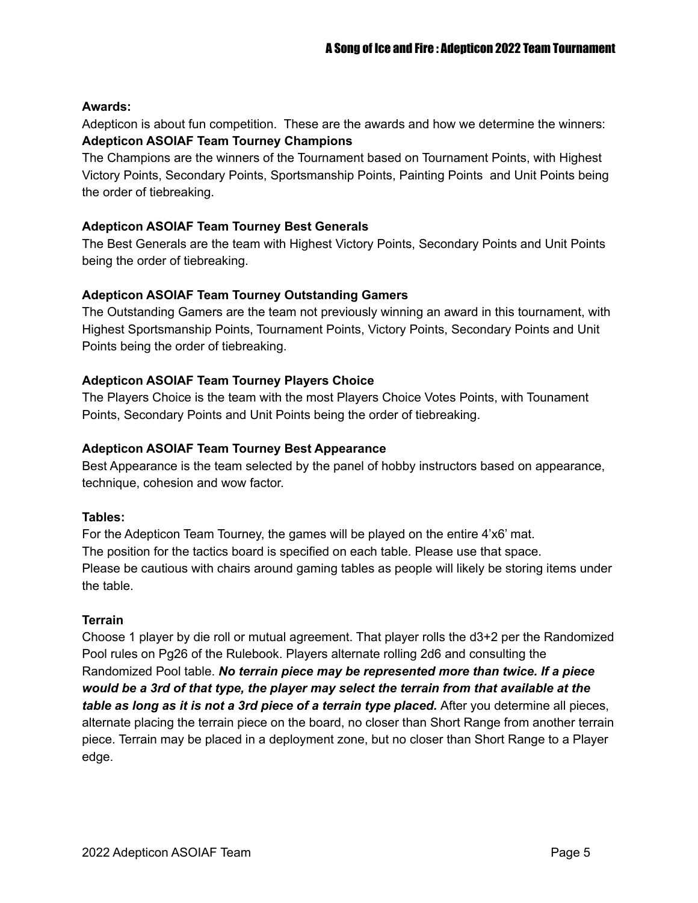#### **Awards:**

Adepticon is about fun competition. These are the awards and how we determine the winners: **Adepticon ASOIAF Team Tourney Champions**

The Champions are the winners of the Tournament based on Tournament Points, with Highest Victory Points, Secondary Points, Sportsmanship Points, Painting Points and Unit Points being the order of tiebreaking.

#### **Adepticon ASOIAF Team Tourney Best Generals**

The Best Generals are the team with Highest Victory Points, Secondary Points and Unit Points being the order of tiebreaking.

#### **Adepticon ASOIAF Team Tourney Outstanding Gamers**

The Outstanding Gamers are the team not previously winning an award in this tournament, with Highest Sportsmanship Points, Tournament Points, Victory Points, Secondary Points and Unit Points being the order of tiebreaking.

#### **Adepticon ASOIAF Team Tourney Players Choice**

The Players Choice is the team with the most Players Choice Votes Points, with Tounament Points, Secondary Points and Unit Points being the order of tiebreaking.

#### **Adepticon ASOIAF Team Tourney Best Appearance**

Best Appearance is the team selected by the panel of hobby instructors based on appearance, technique, cohesion and wow factor.

#### **Tables:**

For the Adepticon Team Tourney, the games will be played on the entire 4'x6' mat. The position for the tactics board is specified on each table. Please use that space. Please be cautious with chairs around gaming tables as people will likely be storing items under the table.

#### **Terrain**

Choose 1 player by die roll or mutual agreement. That player rolls the d3+2 per the Randomized Pool rules on Pg26 of the Rulebook. Players alternate rolling 2d6 and consulting the Randomized Pool table. *No terrain piece may be represented more than twice. If a piece would be a 3rd of that type, the player may select the terrain from that available at the table as long as it is not a 3rd piece of a terrain type placed.* After you determine all pieces, alternate placing the terrain piece on the board, no closer than Short Range from another terrain piece. Terrain may be placed in a deployment zone, but no closer than Short Range to a Player edge.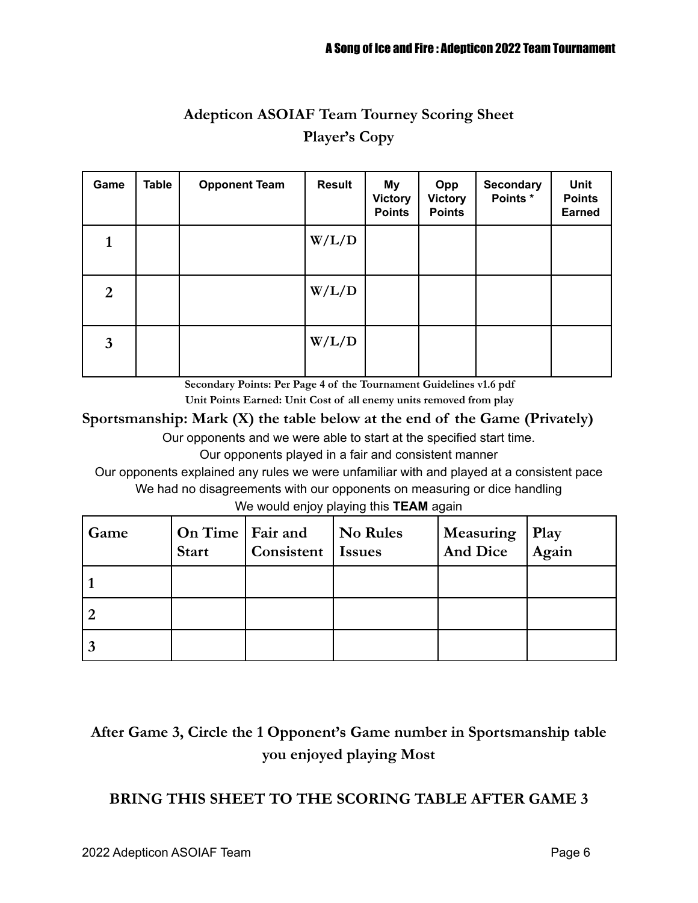# **Adepticon ASOIAF Team Tourney Scoring Sheet Player's Copy**

| Game           | <b>Table</b> | <b>Opponent Team</b> | <b>Result</b> | My<br><b>Victory</b><br><b>Points</b> | Opp<br><b>Victory</b><br><b>Points</b> | <b>Secondary</b><br>Points * | <b>Unit</b><br><b>Points</b><br><b>Earned</b> |
|----------------|--------------|----------------------|---------------|---------------------------------------|----------------------------------------|------------------------------|-----------------------------------------------|
| 1              |              |                      | W/L/D         |                                       |                                        |                              |                                               |
| $\overline{2}$ |              |                      | W/L/D         |                                       |                                        |                              |                                               |
| $\mathbf{3}$   |              |                      | W/L/D         |                                       |                                        |                              |                                               |

**Secondary Points: Per Page 4 of the Tournament Guidelines v1.6 pdf**

**Unit Points Earned: Unit Cost of all enemy units removed from play**

## **Sportsmanship: Mark (X) the table below at the end of the Game (Privately)**

Our opponents and we were able to start at the specified start time.

Our opponents played in a fair and consistent manner

Our opponents explained any rules we were unfamiliar with and played at a consistent pace We had no disagreements with our opponents on measuring or dice handling

We would enjoy playing this **TEAM** again

| Game | On Time   Fair and<br><b>Start</b> | Consistent   Issues | <b>No Rules</b> | <b>Measuring</b><br>And Dice | Play<br>$\overline{A}$ gain |
|------|------------------------------------|---------------------|-----------------|------------------------------|-----------------------------|
|      |                                    |                     |                 |                              |                             |
|      |                                    |                     |                 |                              |                             |
|      |                                    |                     |                 |                              |                             |

# **After Game 3, Circle the 1 Opponent's Game number in Sportsmanship table you enjoyed playing Most**

## **BRING THIS SHEET TO THE SCORING TABLE AFTER GAME 3**